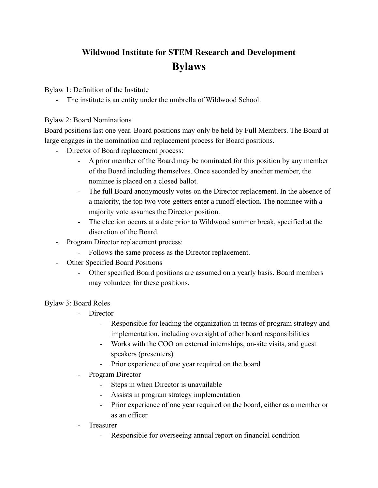## **Wildwood Institute for STEM Research and Development Bylaws**

Bylaw 1: Definition of the Institute

- The institute is an entity under the umbrella of Wildwood School.

## Bylaw 2: Board Nominations

Board positions last one year. Board positions may only be held by Full Members. The Board at large engages in the nomination and replacement process for Board positions.

- Director of Board replacement process:
	- A prior member of the Board may be nominated for this position by any member of the Board including themselves. Once seconded by another member, the nominee is placed on a closed ballot.
	- The full Board anonymously votes on the Director replacement. In the absence of a majority, the top two vote-getters enter a runoff election. The nominee with a majority vote assumes the Director position.
	- The election occurs at a date prior to Wildwood summer break, specified at the discretion of the Board.
- Program Director replacement process:
	- Follows the same process as the Director replacement.
- **Other Specified Board Positions** 
	- Other specified Board positions are assumed on a yearly basis. Board members may volunteer for these positions.

## Bylaw 3: Board Roles

- Director
	- Responsible for leading the organization in terms of program strategy and implementation, including oversight of other board responsibilities
	- Works with the COO on external internships, on-site visits, and guest speakers (presenters)
	- Prior experience of one year required on the board
- Program Director
	- Steps in when Director is unavailable
	- Assists in program strategy implementation
	- Prior experience of one year required on the board, either as a member or as an officer
- **Treasurer** 
	- Responsible for overseeing annual report on financial condition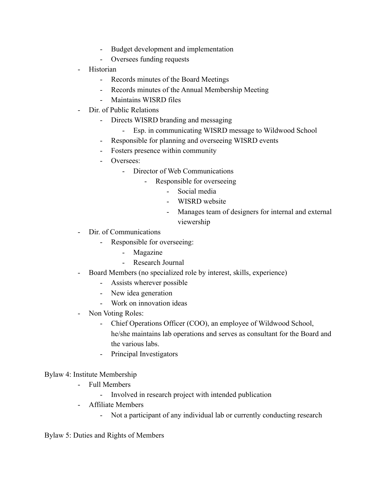- Budget development and implementation
- Oversees funding requests
- Historian
	- Records minutes of the Board Meetings
	- Records minutes of the Annual Membership Meeting
	- Maintains WISRD files
- Dir. of Public Relations
	- Directs WISRD branding and messaging
		- Esp. in communicating WISRD message to Wildwood School
	- Responsible for planning and overseeing WISRD events
	- Fosters presence within community
	- Oversees:
		- Director of Web Communications
			- Responsible for overseeing
				- Social media
				- WISRD website
				- Manages team of designers for internal and external viewership
- Dir. of Communications
	- Responsible for overseeing:
		- Magazine
		- Research Journal
- Board Members (no specialized role by interest, skills, experience)
	- Assists wherever possible
	- New idea generation
	- Work on innovation ideas
- Non Voting Roles:
	- Chief Operations Officer (COO), an employee of Wildwood School, he/she maintains lab operations and serves as consultant for the Board and the various labs.
	- Principal Investigators

## Bylaw 4: Institute Membership

- Full Members
	- Involved in research project with intended publication
- Affiliate Members
	- Not a participant of any individual lab or currently conducting research

Bylaw 5: Duties and Rights of Members